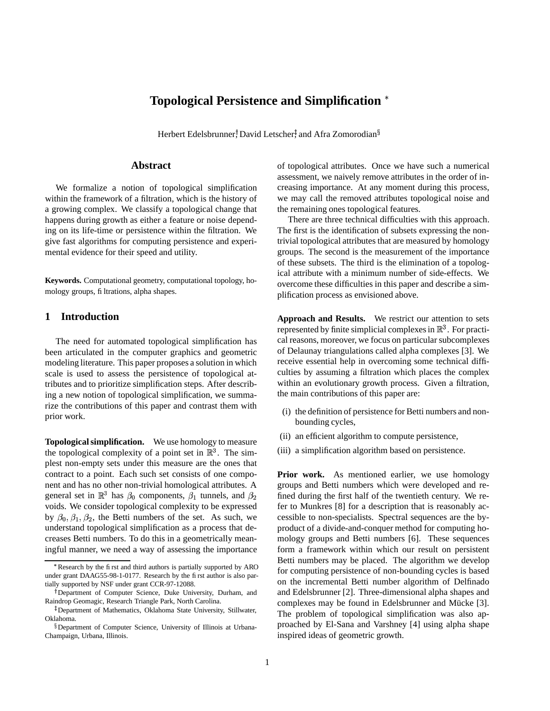# **Topological Persistence and Simplification**

Herbert Edelsbrunner, David Letscher, and Afra Zomorodian $\S$ 

#### **Abstract**

We formalize a notion of topological simplification within the framework of a filtration, which is the history of a growing complex. We classify a topological change that happens during growth as either a feature or noise depending on its life-time or persistence within the filtration. We give fast algorithms for computing persistence and experimental evidence for their speed and utility.

**Keywords.** Computational geometry, computational topology, homology groups, filtrations, alpha shapes.

## **1 Introduction**

The need for automated topological simplification has been articulated in the computer graphics and geometric modeling literature. This paper proposes a solution in which scale is used to assess the persistence of topological attributes and to prioritize simplification steps. After describing a new notion of topological simplification, we summarize the contributions of this paper and contrast them with prior work.

**Topologicalsimplification.** We use homology to measure the topological complexity of a point set in  $\mathbb{R}^3$ . The simplest non-empty sets under this measure are the ones that contract to a point. Each such set consists of one component and has no other non-trivial homological attributes. A general set in  $\mathbb{R}^3$  has  $\beta_0$  components,  $\beta_1$  tunnels, and  $\beta_2$  fi voids. We consider topological complexity to be expressed by  $\beta_0$ ,  $\beta_1$ ,  $\beta_2$ , the Betti numbers of the set. As such, we understand topological simplification as a process that decreases Betti numbers. To do this in a geometrically meaningful manner, we need a way of assessing the importance

of topological attributes. Once we have such a numerical assessment, we naively remove attributes in the order of increasing importance. At any moment during this process, we may call the removed attributes topological noise and the remaining ones topological features.

There are three technical difficulties with this approach. The first is the identification of subsets expressing the nontrivial topological attributes that are measured by homology groups. The second is the measurement of the importance of these subsets. The third is the elimination of a topological attribute with a minimum number of side-effects. We overcome these difficulties in this paper and describe a simplification process as envisioned above.

**Approach and Results.** We restrict our attention to sets represented by finite simplicial complexes in  $\mathbb{R}^3$ . For practical reasons, moreover, we focus on particular subcomplexes of Delaunay triangulations called alpha complexes [3]. We receive essential help in overcoming some technical difficulties by assuming a filtration which places the complex within an evolutionary growth process. Given a filtration, the main contributions of this paper are:

- (i) the definition of persistence for Betti numbers and nonbounding cycles,
- (ii) an efficient algorithm to compute persistence,
- (iii) a simplification algorithm based on persistence.

**Prior work.** As mentioned earlier, we use homology groups and Betti numbers which were developed and refined during the first half of the twentieth century. We refer to Munkres [8] for a description that is reasonably accessible to non-specialists. Spectral sequences are the byproduct of a divide-and-conquer method for computing homology groups and Betti numbers [6]. These sequences form a framework within which our result on persistent Betti numbers may be placed. The algorithm we develop for computing persistence of non-bounding cycles is based on the incremental Betti number algorithm of Delfinado and Edelsbrunner [2]. Three-dimensional alpha shapes and complexes may be found in Edelsbrunner and Mücke [3]. The problem of topological simplification was also approached by El-Sana and Varshney [4] using alpha shape inspired ideas of geometric growth.

Research by the first and third authors is partially supported by ARO under grant DAAG55-98-1-0177. Research by the first author is also partially supported by NSF under grant CCR-97-12088.

Department of Computer Science, Duke University, Durham, and Raindrop Geomagic, Research Triangle Park, North Carolina.

Department of Mathematics, Oklahoma State University, Stillwater, Oklahoma.

Department of Computer Science, University of Illinois at Urbana-Champaign, Urbana, Illinois.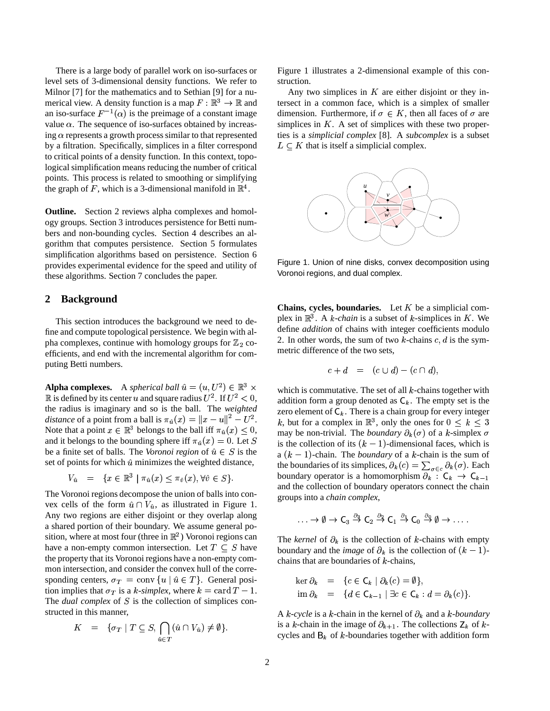There is a large body of parallel work on iso-surfaces or level sets of 3-dimensional density functions. We refer to Milnor [7] for the mathematics and to Sethian [9] for a numerical view. A density function is a map  $F : \mathbb{R}^3 \to \mathbb{R}$  and tersect an iso-surface  $F^{-1}(\alpha)$  is the preimage of a constant image value  $\alpha$ . The sequence of iso-surfaces obtained by increasing  $\alpha$  represents a growth process similar to that represented by a filtration. Specifically, simplices in a filter correspond to critical points of a density function. In this context, topological simplification means reducing the number of critical points. This process is related to smoothing or simplifying the graph of F, which is a 3-dimensional manifold in  $\mathbb{R}^4$ .

**Outline.** Section 2 reviews alpha complexes and homology groups. Section 3 introduces persistence for Betti numbers and non-bounding cycles. Section 4 describes an algorithm that computes persistence. Section 5 formulates simplification algorithms based on persistence. Section 6 provides experimental evidence for the speed and utility of these algorithms. Section 7 concludes the paper.

# **2 Background**

This section introduces the background we need to define and compute topological persistence. We begin with alpha complexes, continue with homology groups for  $\mathbb{Z}_2$  coefficients, and end with the incremental algorithm for computing Betti numbers.

**Alpha complexes.** A *spherical ball*  $\hat{u} = (u, U^2) \in \mathbb{R}^3 \times \text{while}$  $\mathbb R$  is defined by its center u and square radius  $U^2$ . If  $U^2 < 0$ , add the radius is imaginary and so is the ball. The *weighted* distance of a point from a ball is  $\pi_{\hat{u}}(x) = ||x - u||^2 - U^2$ .  $\qquad k \to \infty$ Note that a point  $x \in \mathbb{R}^3$  belongs to the ball iff  $\pi_{\hat{u}}(x) \leq 0$ , may and it belongs to the bounding sphere iff  $\pi_{\hat{u}}(x) = 0$ . Let S is the co be a finite set of balls. The *Voronoi* region of  $\hat{u} \in S$  is the set of points for which  $\hat{u}$  minimizes the weighted distance,

$$
V_{\hat{u}} = \{ x \in \mathbb{R}^3 \mid \pi_{\hat{u}}(x) \le \pi_{\hat{v}}(x), \forall \hat{v} \in S \}.
$$

The Voronoi regions decompose the union of balls into convex cells of the form  $\hat{u} \cap V_{\hat{u}}$ , as illustrated in Figure 1. Any two regions are either disjoint or they overlap along a shared portion of their boundary. We assume general position, where at most four (three in  $\mathbb{R}^2$ ) Voronoi regions can have a non-empty common intersection. Let  $T \subseteq S$  have the property that its Voronoi regions have a non-empty common intersection, and consider the convex hull of the corresponding centers,  $\sigma_T = \text{conv} \{u \mid \hat{u} \in T\}$ . General position implies that  $\sigma_T$  is a k-simplex, where  $k = \text{card } T - 1$ . The *dual* complex of  $S$  is the collection of simplices constructed in this manner,

$$
K = \{\sigma_T \mid T \subseteq S, \bigcap_{\hat{u} \in T} (\hat{u} \cap V_{\hat{u}}) \neq \emptyset\}.
$$

Figure 1 illustrates a 2-dimensional example of this construction.

Any two simplices in  $K$  are either disjoint or they intersect in a common face, which is a simplex of smaller dimension. Furthermore, if  $\sigma \in K$ , then all faces of  $\sigma$  are simplices in  $K$ . A set of simplices with these two properties is a *simplicial complex* [8]. A *subcomplex* is a subset  $L \subseteq K$  that is itself a simplicial complex.



Figure 1. Union of nine disks, convex decomposition using Voronoi regions, and dual complex.

**Chains, cycles, boundaries.** Let  $K$  be a simplicial complex in  $\mathbb{R}^3$ . A *k*-chain is a subset of *k*-simplices in *K*. We define *addition* of chains with integer coefficients modulo 2. In other words, the sum of two  $k$ -chains  $c, d$  is the symmetric difference of the two sets,

$$
c+d \quad = \quad (c \cup d)-(c \cap d),
$$

which is commutative. The set of all  $k$ -chains together with addition form a group denoted as  $C_k$ . The empty set is the zero element of  $C_k$ . There is a chain group for every integer k, but for a complex in  $\mathbb{R}^3$ , only the ones for  $0 \leq k \leq 3$ may be non-trivial. The *boundary*  $\partial_k(\sigma)$  of a k-simplex  $\sigma$ is the collection of its  $(k - 1)$ -dimensional faces, which is a  $(k - 1)$ -chain. The *boundary* of a k-chain is the sum of the boundaries of its simplices,  $\partial_k(c) = \sum_{\sigma \in c} \partial_k(\sigma)$ . Each boundary operator is a homomorphism  $\partial_k : C_k \to C_{k-1}$  and the collection of boundary operators connect the chain groups into a *chain complex*,

$$
\ldots \to \emptyset \to C_3 \stackrel{\partial_3}{\to} C_2 \stackrel{\partial_2}{\to} C_1 \stackrel{\partial_1}{\to} C_0 \stackrel{\partial_0}{\to} \emptyset \to \ldots
$$

The *kernel* of  $\partial_k$  is the collection of k-chains with empty boundary and the *image* of  $\partial_k$  is the collection of  $(k-1)$ chains that are boundaries of  $k$ -chains,

$$
\ker \partial_k = \{c \in \mathsf{C}_k \mid \partial_k(c) = \emptyset\},\newline \text{im } \partial_k = \{d \in \mathsf{C}_{k-1} \mid \exists c \in \mathsf{C}_k : d = \partial_k(c)\}.
$$

A  $k$ -cycle is a  $k$ -chain in the kernel of  $\partial_k$  and a  $k$ -boundary is a k-chain in the image of  $\partial_{k+1}$ . The collections  $Z_k$  of kcycles and  $B_k$  of k-boundaries together with addition form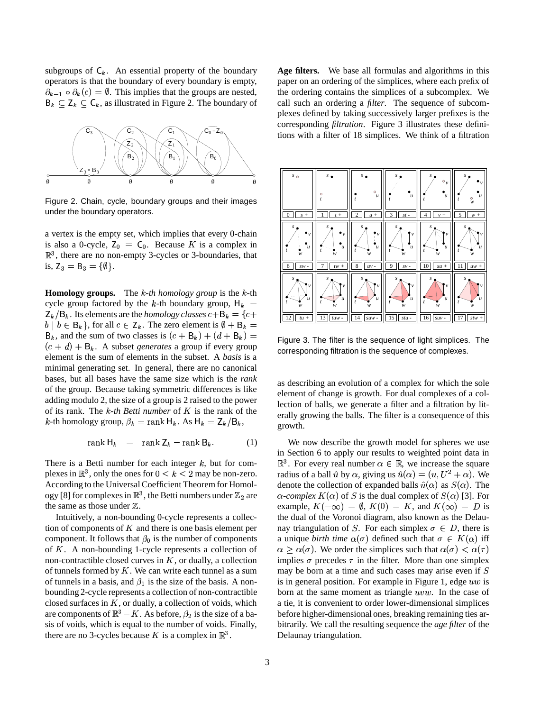subgroups of  $C_k$ . An essential property of the boundary operators is that the boundary of every boundary is empty,  $\partial_{k-1} \circ \partial_k(c) = \emptyset$ . This implies that the groups are nested,  $B_k \subseteq Z_k \subseteq C_k$ , as illustrated in Figure 2. The boundary of



Figure 2. Chain, cycle, boundary groups and their images under the boundary operators.

a vertex is the empty set, which implies that every 0-chain is also a 0-cycle,  $Z_0 = C_0$ . Because K is a complex in  $\mathbb{R}^3$ , there are no non-empty 3-cycles or 3-boundaries, that is,  $Z_3 = B_3 = {\emptyset}.$ 

**Homology groups.** The  $k$ -th *homology group* is the  $k$ -th cycle group factored by the k-th boundary group,  $H_k = \int_0^t e^{-\frac{2\pi}{w}} dx$  $Z_k/B_k$ . Its elements are the *homology classes*  $c + B_k = \{c +$  $b \mid b \in B_k$ , for all  $c \in Z_k$ . The zero element is  $\emptyset + B_k =$  $B_k$ , and the sum of two classes is  $(c + B_k) + (d + B_k) =$  $(c + d) + B_k$ . A subset *generates* a group if every group element is the sum of elements in the subset. A *basis* is a minimal generating set. In general, there are no canonical bases, but all bases have the same size which is the *rank* of the group. Because taking symmetric differences is like adding modulo 2, the size of a group is 2 raised to the power of its rank. The  $k$ -th *Betti* number of  $K$  is the rank of the k-th homology group,  $\beta_k = \text{rank } \mathsf{H}_k$ . As  $\mathsf{H}_k = \mathsf{Z}_k / \mathsf{B}_k$ ,

$$
rank H_k = rank Z_k - rank B_k. \t(1)
$$

There is a Betti number for each integer  $k$ , but for complexes in  $\mathbb{R}^3$ , only the ones for  $0 \le k \le 2$  may be non-zero. According to the Universal Coefficient Theorem for Homology [8] for complexes in  $\mathbb{R}^3$ , the Betti numbers under  $\mathbb{Z}_2$  are the same as those under  $\mathbb{Z}$ .

Intuitively, a non-bounding 0-cycle represents a collection of components of  $K$  and there is one basis element per component. It follows that  $\beta_0$  is the number of components of  $K$ . A non-bounding 1-cycle represents a collection of non-contractible closed curves in  $K$ , or dually, a collection of tunnels formed by  $K$ . We can write each tunnel as a sum of tunnels in a basis, and  $\beta_1$  is the size of the basis. A nonbounding 2-cycle represents a collection of non-contractible closed surfaces in  $K$ , or dually, a collection of voids, which are components of  $\mathbb{R}^3 - K$ . As before,  $\beta_2$  is the size of a basis of voids, which is equal to the number of voids. Finally, there are no 3-cycles because K is a complex in  $\mathbb{R}^3$ .

**Age filters.** We base all formulas and algorithms in this paper on an ordering of the simplices, where each prefix of the ordering contains the simplices of a subcomplex. We call such an ordering a *filter*. The sequence of subcomplexes defined by taking successively larger prefixes is the corresponding *filtration*. Figure 3 illustrates these definitions with a filter of 18 simplices. We think of a filtration



Figure 3. The filter is the sequence of light simplices. The corresponding filtration is the sequence of complexes.

as describing an evolution of a complex for which the sole element of change is growth. For dual complexes of a collection of balls, we generate a filter and a filtration by literally growing the balls. The filter is a consequence of this growth.

We now describe the growth model for spheres we use in Section 6 to apply our results to weighted point data in  $\mathbb{R}^3$ . For every real number  $\alpha \in \mathbb{R}$ , we increase the square radius of a ball  $\hat{u}$  by  $\alpha$ , giving us  $\hat{u}(\alpha) = (u, U^2 + \alpha)$ . We denote the collection of expanded balls  $\hat{u}(\alpha)$  as  $S(\alpha)$ . The  $\alpha$ -*complex*  $K(\alpha)$  of S is the dual complex of  $S(\alpha)$  [3]. For example,  $K(-\infty) = \emptyset$ ,  $K(0) = K$ , and  $K(\infty) = D$  is the dual of the Voronoi diagram, also known as the Delaunay triangulation of S. For each simplex  $\sigma \in D$ , there is a unique *birth time*  $\alpha(\sigma)$  defined such that  $\sigma \in K(\alpha)$  iff  $\alpha \geq \alpha(\sigma)$ . We order the simplices such that  $\alpha(\sigma) < \alpha(\tau)$ implies  $\sigma$  precedes  $\tau$  in the filter. More than one simplex may be born at a time and such cases may arise even if  $S$ is in general position. For example in Figure 1, edge  $uw$  is born at the same moment as triangle  $uvw$ . In the case of a tie, it is convenient to order lower-dimensional simplices before higher-dimensional ones, breaking remaining ties arbitrarily. We call the resulting sequence the *age filter* of the Delaunay triangulation.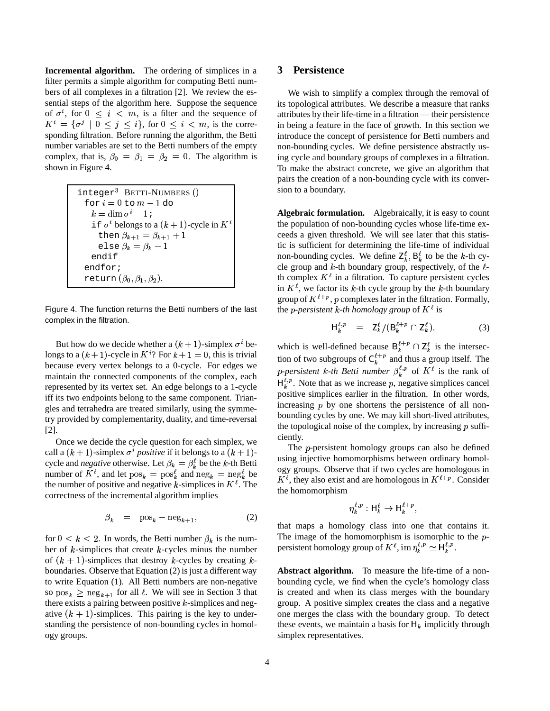**Incremental algorithm.** The ordering of simplices in a filter permits a simple algorithm for computing Betti numbers of all complexes in a filtration [2]. We review the essential steps of the algorithm here. Suppose the sequence of  $\sigma^i$ , for  $0 \leq i \leq m$ , is a filter and the sequence of  $K^i = \{\sigma^j \mid 0 \leq j \leq i\},\,$  for  $0 \leq i \leq m$ , is the corresponding filtration. Before running the algorithm, the Betti number variables are set to the Betti numbers of the empty complex, that is,  $\beta_0 = \beta_1 = \beta_2 = 0$ . The algorithm is shown in Figure 4.

| $integer3$ BETTI-NUMBERS ()                          |  |
|------------------------------------------------------|--|
| for $i=0$ to $m-1$ do                                |  |
| $k = \dim \sigma^{i} - 1$                            |  |
| if $\sigma^i$ belongs to a $(k + 1)$ -cycle in $K^i$ |  |
| then $\beta_{k+1} = \beta_{k+1} + 1$                 |  |
| else $\beta_k = \beta_k - 1$                         |  |
| endif                                                |  |
| endfor;                                              |  |
| return $(\beta_0, \beta_1, \beta_2)$ .               |  |

Figure 4. The function returns the Betti numbers of the last complex in the filtration.

But how do we decide whether a  $(k + 1)$ -simplex  $\sigma^{i}$  belongs to a  $(k + 1)$ -cycle in  $K^{i}$ ? For  $k + 1 = 0$ , this is trivial because every vertex belongs to a 0-cycle. For edges we maintain the connected components of the complex, each represented by its vertex set. An edge belongs to a 1-cycle iff its two endpoints belong to the same component. Triangles and tetrahedra are treated similarly, using the symmetry provided by complementarity, duality, and time-reversal [2].

Once we decide the cycle question for each simplex, we call a  $(k + 1)$ -simplex  $\sigma^i$  *positive* if it belongs to a  $(k + 1)$ cycle and *negative* otherwise. Let  $\beta_k = \beta_k^{\ell}$  be the k-th Betti number of  $K^{\ell}$ , and let  $\text{pos}_k = \text{pos}_k^{\ell}$  and  $\text{neg}_k = \text{neg}_k^{\ell}$  be the number of positive and negative k-simplices in  $K^{\ell}$ . The correctness of the incremental algorithm implies

$$
\beta_k = \text{pos}_k - \text{neg}_{k+1},\tag{2}
$$

for  $0 \leq k \leq 2$ . In words, the Betti number  $\beta_k$  is the number of  $k$ -simplices that create  $k$ -cycles minus the number of  $(k + 1)$ -simplices that destroy k-cycles by creating kboundaries. Observe that Equation (2) is just a different way to write Equation (1). All Betti numbers are non-negative so  $pos_k \geq neg_{k+1}$  for all  $\ell$ . We will see in Section 3 that there exists a pairing between positive  $k$ -simplices and negative  $(k + 1)$ -simplices. This pairing is the key to understanding the persistence of non-bounding cycles in homology groups.

#### **3 Persistence**

We wish to simplify a complex through the removal of its topological attributes. We describe a measure that ranks attributes by their life-time in a filtration — their persistence in being a feature in the face of growth. In this section we introduce the concept of persistence for Betti numbers and non-bounding cycles. We define persistence abstractly using cycle and boundary groups of complexes in a filtration. To make the abstract concrete, we give an algorithm that pairs the creation of a non-bounding cycle with its conversion to a boundary.

-cycle in  $K^i$  the population of non-bounding cycles whose life-time ex-**Algebraic formulation.** Algebraically, it is easy to count ceeds a given threshold. We will see later that this statistic is sufficient for determining the life-time of individual non-bounding cycles. We define  $\mathsf{Z}_k^{\ell}$ ,  $\mathsf{B}_k^{\ell}$  to be the k-th cycle group and  $k$ -th boundary group, respectively, of the  $\ell$ th complex  $K^{\ell}$  in a filtration. To capture persistent cycles in  $K^{\ell}$ , we factor its k-th cycle group by the k-th boundary group of  $K^{l+p}$ , p complexes later in the filtration. Formally, the *p-persistent* k-th homology group of  $K^{\ell}$  is

$$
\mathsf{H}_k^{\ell,p} = \mathsf{Z}_k^{\ell} / (\mathsf{B}_k^{\ell+p} \cap \mathsf{Z}_k^{\ell}), \tag{3}
$$

which is well-defined because  $B_k^{t+p} \cap Z_k^{\ell}$  is the intersection of two subgroups of  $C_k^{t+p}$  and thus a group itself. The *p-persistent k-th Betti number*  $\beta_k^{t,p}$  of  $K^t$  is the rank of  $H_k^{\ell,p}$ . Note that as we increase p, negative simplices cancel positive simplices earlier in the filtration. In other words, increasing  $p$  by one shortens the persistence of all nonbounding cycles by one. We may kill short-lived attributes, the topological noise of the complex, by increasing  $p$  sufficiently.

The  $p$ -persistent homology groups can also be defined using injective homomorphisms between ordinary homology groups. Observe that if two cycles are homologous in  $K^{\ell}$ , they also exist and are homologous in  $K^{\ell+p}$ . Consider the homomorphism

$$
\eta_k^{\ell,p} : \mathsf{H}_k^{\ell} \to \mathsf{H}_k^{\ell+p},
$$

that maps a homology class into one that contains it. The image of the homomorphism is isomorphic to the  $p$ persistent homology group of  $K^{\ell}$ , im  $\eta_k^{\ell,p} \simeq \mathsf{H}_k^{\ell,p}$ .  ${\sf H}_k^{\ell,p}$ .

**Abstract algorithm.** To measure the life-time of a nonbounding cycle, we find when the cycle's homology class is created and when its class merges with the boundary group. A positive simplex creates the class and a negative one merges the class with the boundary group. To detect these events, we maintain a basis for  $H_k$  implicitly through simplex representatives.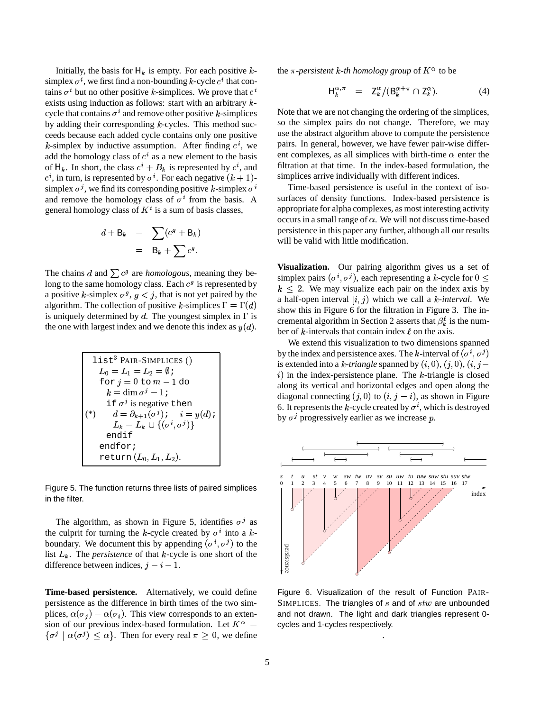Initially, the basis for  $H_k$  is empty. For each positive  $k$ simplex  $\sigma^i$ , we first find a non-bounding k-cycle  $c^i$  that contains  $\sigma^i$  but no other positive k-simplices. We prove that  $c^i$ exists using induction as follows: start with an arbitrary  $k$ cycle that contains  $\sigma^i$  and remove other positive k-simplices by adding their corresponding  $k$ -cycles. This method succeeds because each added cycle contains only one positive k-simplex by inductive assumption. After finding  $c^i$ , we add the homology class of  $c^i$  as a new element to the basis of  $H_k$ . In short, the class  $c^i + B_k$  is represented by  $c^i$ , and  $c^i$ , in turn, is represented by  $\sigma^i$ . For each negative  $(k + 1)$ - simpl simplex  $\sigma^j$ , we find its corresponding positive k-simplex  $\sigma^i$ and remove the homology class of  $\sigma^i$  from the basis. A general homology class of  $K^i$  is a sum of basis classes,

$$
d + B_k = \sum (c^g + B_k)
$$
  
=  $B_k + \sum c^g$ .

The chains d and  $\sum c^g$  are *homologous*, meaning they belong to the same homology class. Each  $c<sup>g</sup>$  is represented by a positive k-simplex  $\sigma^g$ ,  $g < j$ , that is not yet paired by the algorithm. The collection of positive k-simplices  $\Gamma = \Gamma(d)$ is uniquely determined by  $d$ . The youngest simplex in  $\Gamma$  is the one with largest index and we denote this index as  $y(d)$ .

| $list^3$ PAIR-SIMPLICES ()                               |  |
|----------------------------------------------------------|--|
| $L_0 = L_1 = L_2 = \emptyset$                            |  |
| for $j=0$ to $m-1$ do                                    |  |
| $k = \dim \sigma^{j} - 1i$                               |  |
| if $\sigma^j$ is negative then                           |  |
| $d = \partial_{k+1}(\sigma^j); \quad i = y(d);$<br>$(*)$ |  |
| $L_k = L_k \cup \{(\sigma^i, \sigma^j)\}\$               |  |
| endif                                                    |  |
| endfor;                                                  |  |
| return $(L_0, L_1, L_2)$ .                               |  |

Figure 5. The function returns three lists of paired simplices in the filter.

The algorithm, as shown in Figure 5, identifies  $\sigma^j$  as the culprit for turning the k-cycle created by  $\sigma^i$  into a kboundary. We document this by appending  $(\sigma^i, \sigma^j)$  to the list  $L_k$ . The *persistence* of that  $k$ -cycle is one short of the difference between indices,  $j - i - 1$ .

**Time-based persistence.** Alternatively, we could define persistence as the difference in birth times of the two simplices,  $\alpha(\sigma_j) - \alpha(\sigma_i)$ . This view corresponds to an extension of our previous index-based formulation. Let  $K^{\alpha}$  = cycles and  $\{\sigma^j \mid \alpha(\sigma^j) \leq \alpha\}$ . Then for every real  $\pi \geq 0$ , we define

the  $\pi$ -persistent k-th homology group of  $K^{\alpha}$  to be

$$
\mathsf{H}_k^{\alpha,\pi} = \mathsf{Z}_k^{\alpha} / (\mathsf{B}_k^{\alpha+\pi} \cap \mathsf{Z}_k^{\alpha}). \tag{4}
$$

Note that we are not changing the ordering of the simplices, so the simplex pairs do not change. Therefore, we may use the abstract algorithm above to compute the persistence pairs. In general, however, we have fewer pair-wise different complexes, as all simplices with birth-time  $\alpha$  enter the filtration at that time. In the index-based formulation, the simplices arrive individually with different indices.

Time-based persistence is useful in the context of isosurfaces of density functions. Index-based persistence is appropriate for alpha complexes, as most interesting activity occurs in a small range of  $\alpha$ . We will not discuss time-based persistence in this paper any further, although all our results will be valid with little modification.

 $\mu^{(u)}$  show this in Figure 6 for the filtration in Figure 3. The in- $\omega$ . ber of k-intervals that contain index  $\ell$  on the axis. **Visualization.** Our pairing algorithm gives us a set of simplex pairs  $(\sigma^i, \sigma^j)$ , each representing a k-cycle for  $0 \leq$  $k \leq 2$ . We may visualize each pair on the index axis by a half-open interval  $[i, j)$  which we call a *k*-interval. We cremental algorithm in Section 2 asserts that  $\beta_k^{\ell}$  is the num-

> We extend this visualization to two dimensions spanned by the index and persistence axes. The k-interval of  $(\sigma^i, \sigma^j)$ is extended into a k-triangle spanned by  $(i, 0)$ ,  $(j, 0)$ ,  $(i, j$  $i)$  in the index-persistence plane. The  $k$ -triangle is closed along its vertical and horizontal edges and open along the diagonal connecting  $(j, 0)$  to  $(i, j - i)$ , as shown in Figure 6. It represents the k-cycle created by  $\sigma^i$ , which is destroyed by  $\sigma^j$  progressively earlier as we increase p.



Figure 6. Visualization of the result of Function PAIR-SIMPLICES. The triangles of  $s$  and of  $stw$  are unbounded and not drawn. The light and dark triangles represent 0 cycles and 1-cycles respectively.

.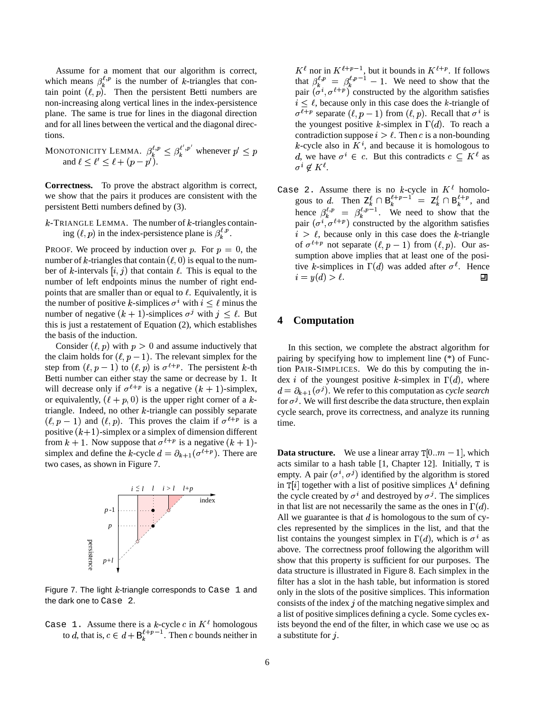Assume for a moment that our algorithm is correct, which means  $\beta_k^{t,p}$  is the number of k-triangles that contain point  $(\ell, p)$ . Then the persistent Betti numbers are non-increasing along vertical lines in the index-persistence plane. The same is true for lines in the diagonal direction and for all lines between the vertical and the diagonal directions.

MONOTONICITY LEMMA. 
$$
\beta_k^{\ell, p} \leq \beta_k^{\ell', p'}
$$
 whenever  $p' \leq p$ 

\nand  $\ell \leq \ell' \leq \ell + (p - p')$ .

**Correctness.** To prove the abstract algorithm is correct, we show that the pairs it produces are consistent with the persistent Betti numbers defined by (3).

 $k$ -TRIANGLE LEMMA. The number of  $k$ -triangles containing  $(\ell, p)$  in the index-persistence plane is  $\beta_k^{\ell, p}$ .

PROOF. We proceed by induction over p. For  $p = 0$ , the number of k-triangles that contain  $(\ell, 0)$  is equal to the number of k-intervals  $(i, j)$  that contain  $\ell$ . This is equal to the number of left endpoints minus the number of right endpoints that are smaller than or equal to  $\ell$ . Equivalently, it is the number of positive k-simplices  $\sigma^i$  with  $i \leq \ell$  minus the number of negative  $(k + 1)$ -simplices  $\sigma^j$  with  $j \leq \ell$ . But this is just a restatement of Equation (2), which establishes the basis of the induction.

Consider  $(\ell, p)$  with  $p > 0$  and assume inductively that the claim holds for  $(\ell, p - 1)$ . The relevant simplex for the step from  $(\ell, p - 1)$  to  $(\ell, p)$  is  $\sigma^{\ell+p}$ . The persistent k-th Betti number can either stay the same or decrease by 1. It will decrease only if  $\sigma^{l+p}$  is a negative  $(k + 1)$ -simplex, or equivalently,  $(\ell + p, 0)$  is the upper right corner of a ktriangle. Indeed, no other  $k$ -triangle can possibly separate  $(\ell, p-1)$  and  $(\ell, p)$ . This proves the claim if  $\sigma^{\ell+p}$  is a positive  $(k+1)$ -simplex or a simplex of dimension different from  $k + 1$ . Now suppose that  $\sigma^{l+p}$  is a negative  $(k + 1)$ simplex and define the k-cycle  $d = \partial_{k+1}(\sigma^{\ell+p})$ . There are two cases, as shown in Figure 7.



Figure 7. The light  $k$ -triangle corresponds to Case 1 and the dark one to Case 2.

Case 1. Assume there is a k-cycle c in  $K^{\ell}$  homologous to d, that is,  $c \in d + B_k^{t+p-1}$ . Then c bounds neither in

 $\alpha^i \in \mathcal{C}$ . But this contradicts  $c \subseteq K^{\ell}$  as  $K^{\ell}$  nor in  $K^{\ell+p-1}$ , but it bounds in  $K^{\ell+p}$ . If follows that  $\beta_k^{t,p} = \beta_k^{t,p-1} - 1$ . We need to show that the pair  $(\sigma^i, \sigma^{i+p})$  constructed by the algorithm satisfies  $i \leq \ell$ , because only in this case does the k-triangle of  $\sigma^{l+p}$  separate  $(l, p - 1)$  from  $(l, p)$ . Recall that  $\sigma^{i}$  is the youngest positive k-simplex in  $\Gamma(d)$ . To reach a contradiction suppose  $i > l$ . Then c is a non-bounding k-cycle also in  $K^i$ , and because it is homologous to  $\sigma^i \notin K^{\ell}$ .

Case 2. Assume there is no k-cycle in  $K^{\ell}$  homologous to d. Then  $Z_k^{\ell} \cap B_k^{\ell+p-1} = Z_k^{\ell} \cap B_k^{\ell+p}$ , and hence  $\beta_k^{\ell,p} = \beta_k^{\ell,p-1}$ . We need to show that the pair  $(\sigma^i, \sigma^{i+p})$  constructed by the algorithm satisfies  $i > l$ , because only in this case does the k-triangle of  $\sigma^{\ell+p}$  not separate  $(\ell, p-1)$  from  $(\ell, p)$ . Our assumption above implies that at least one of the positive k-simplices in  $\Gamma(d)$  was added after  $\sigma^{\ell}$ . Hence  $i = y(d) > \ell.$ ▣

# **4 Computation**

In this section, we complete the abstract algorithm for pairing by specifying how to implement line (\*) of Function PAIR-SIMPLICES. We do this by computing the index *i* of the youngest positive *k*-simplex in  $\Gamma(d)$ , where  $d = \partial_{k+1}(\sigma^j)$ . We refer to this computation as *cycle* search for  $\sigma^j$ . We will first describe the data structure, then explain cycle search, prove its correctness, and analyze its running time.

**Data structure.** We use a linear array  $T[0..m-1]$ , which acts similar to a hash table  $[1, Chapter 12]$ . Initially, T is empty. A pair  $(\sigma^i, \sigma^j)$  identified by the algorithm is stored in  $T[i]$  together with a list of positive simplices  $\Lambda^{i}$  defining the cycle created by  $\sigma^i$  and destroyed by  $\sigma^j$ . The simplices in that list are not necessarily the same as the ones in  $\Gamma(d)$ . All we guarantee is that  $d$  is homologous to the sum of cycles represented by the simplices in the list, and that the list contains the youngest simplex in  $\Gamma(d)$ , which is  $\sigma^i$  as above. The correctness proof following the algorithm will show that this property is sufficient for our purposes. The data structure is illustrated in Figure 8. Each simplex in the filter has a slot in the hash table, but information is stored only in the slots of the positive simplices. This information consists of the index  $j$  of the matching negative simplex and a list of positive simplices defining a cycle. Some cycles exists beyond the end of the filter, in which case we use  $\infty$  as a substitute for j.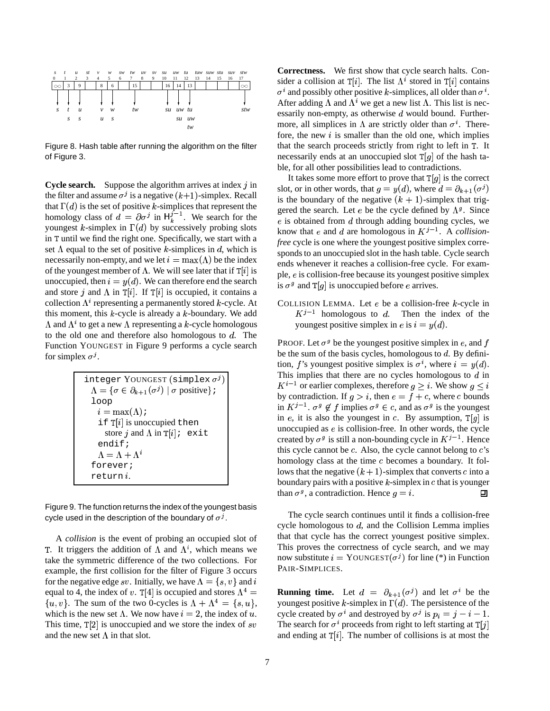

Figure 8. Hash table after running the algorithm on the filter of Figure 3.

**Cycle search.** Suppose the algorithm arrives at index  $j$  in the filter and assume  $\sigma^j$  is a negative  $(k+1)$ -simplex. Recall that  $\Gamma(d)$  is the set of positive k-simplices that represent the homology class of  $d = \partial \sigma^j$  in  $H_k^{j-1}$ . We search for the youngest k-simplex in  $\Gamma(d)$  by successively probing slots in T until we find the right one. Specifically, we start with a set  $\Lambda$  equal to the set of positive k-simplices in d, which is necessarily non-empty, and we let  $i = \max(\Lambda)$  be the index of the youngest member of  $\Lambda$ . We will see later that if  $\mathbb{T}[i]$  is unoccupied, then  $i = y(d)$ . We can therefore end the search and store j and  $\Lambda$  in  $\mathbb{T}[i]$ . If  $\mathbb{T}[i]$  is occupied, it contains a collection  $\Lambda^i$  representing a permanently stored k-cycle. At this moment, this  $k$ -cycle is already a  $k$ -boundary. We add  $\Lambda$  and  $\Lambda^i$  to get a new  $\Lambda$  representing a k-cycle homologous to the old one and therefore also homologous to  $d$ . The Function YOUNGEST in Figure 9 performs a cycle search for simplex  $\sigma^j$ .

$$
\begin{array}{l} \text{integer } \text{YoungEST } (\text{simplex } \sigma^j) \\ \Lambda = \{ \sigma \in \partial_{k+1}(\sigma^j) \mid \sigma \text{ positive} \} \colon \\ \text{loop} \\ i = \max(\Lambda) \colon \\ \text{if } \mathsf{T}[i] \text{ is unoccupied then} \\ \text{store } j \text{ and } \Lambda \text{ in } \mathsf{T}[i] \colon \text{ exit} \\ \text{endif } \\ \Lambda = \Lambda + \Lambda^i \\ \text{forever } j \\ \text{return } i. \end{array}
$$

Figure 9. The function returns the index of the youngest basis cycle used in the description of the boundary of  $\sigma^j$ .

A *collision* is the event of probing an occupied slot of T. It triggers the addition of  $\Lambda$  and  $\Lambda^i$ , which means we take the symmetric difference of the two collections. For example, the first collision for the filter of Figure 3 occurs for the negative edge sv. Initially, we have  $\Lambda = \{s, v\}$  and i equal to 4, the index of v. T[4] is occupied and stores  $\Lambda^4 =$  **Running**  $\{u, v\}$ . The sum of the two 0-cycles is  $\Lambda + \Lambda^4 = \{s, u\}$ , you which is the new set  $\Lambda$ . We now have  $i = 2$ , the index of u. cycle This time,  $\mathbb{T}[2]$  is unoccupied and we store the index of sv The and the new set  $\Lambda$  in that slot.

**Correctness.** We first show that cycle search halts. Consider a collision at  $T[i]$ . The list  $\Lambda^i$  stored in  $T[i]$  contains  $\sigma^i$  and possibly other positive k-simplices, all older than  $\sigma^i$ . After adding  $\Lambda$  and  $\Lambda^i$  we get a new list  $\Lambda$ . This list is necessarily non-empty, as otherwise  $d$  would bound. Furthermore, all simplices in  $\Lambda$  are strictly older than  $\sigma^i$ . Therefore, the new  $i$  is smaller than the old one, which implies that the search proceeds strictly from right to left in  $T$ . It necessarily ends at an unoccupied slot  $T[g]$  of the hash table, for all other possibilities lead to contradictions.

It takes some more effort to prove that  $T[g]$  is the correct slot, or in other words, that  $g = y(d)$ , where  $d = \partial_{k+1}(\sigma^j)$ is the boundary of the negative  $(k + 1)$ -simplex that triggered the search. Let *e* be the cycle defined by  $\Lambda^{g}$ . Since  $e$  is obtained from  $d$  through adding bounding cycles, we know that *e* and *d* are homologous in  $K^{j-1}$ . A *collisionfree* cycle is one where the youngest positive simplex corresponds to an unoccupied slot in the hash table. Cycle search ends whenever it reaches a collision-free cycle. For example,  $e$  is collision-free because its youngest positive simplex is  $\sigma^g$  and  $T[g]$  is unoccupied before *e* arrives.

COLLISION LEMMA. Let  $e$  be a collision-free  $k$ -cycle in  $K^{j-1}$  homologous to d. Then the index of the youngest positive simplex in *e* is  $i = y(d)$ .

PROOF. Let  $\sigma^g$  be the youngest positive simplex in e, and f be the sum of the basis cycles, homologous to  $d$ . By definition, f's youngest positive simplex is  $\sigma^i$ , where  $i = y(d)$ . This implies that there are no cycles homologous to  $d$  in  $K^{i-1}$  or earlier complexes, therefore  $g \geq i$ . We show  $g \leq i$ by contradiction. If  $g > i$ , then  $e = f + c$ , where c bounds in  $K^{j-1}$ .  $\sigma^g \notin f$  implies  $\sigma^g \in c$ , and as  $\sigma^g$  is the youngest in e, it is also the youngest in c. By assumption,  $T[g]$  is unoccupied as  $e$  is collision-free. In other words, the cycle created by  $\sigma^g$  is still a non-bounding cycle in  $K^{j-1}$ . Hence this cycle cannot be  $c$ . Also, the cycle cannot belong to  $c$ 's homology class at the time  $c$  becomes a boundary. It follows that the negative  $(k + 1)$ -simplex that converts c into a boundary pairs with a positive  $k$ -simplex in  $c$  that is younger than  $\sigma^g$ , a contradiction. Hence  $g = i$ . 口

The cycle search continues until it finds a collision-free cycle homologous to  $d$ , and the Collision Lemma implies that that cycle has the correct youngest positive simplex. This proves the correctness of cycle search, and we may now substitute  $i = \text{YoungEST}(\sigma^j)$  for line (\*) in Function PAIR-SIMPLICES.

**Running time.** Let  $d = \partial_{k+1}(\sigma^j)$  and let  $\sigma^i$  be the youngest positive k-simplex in  $\Gamma(d)$ . The persistence of the cycle created by  $\sigma^i$  and destroyed by  $\sigma^j$  is  $p_i = j - i - 1$ . The search for  $\sigma^i$  proceeds from right to left starting at  $T[j]$ and ending at  $T[i]$ . The number of collisions is at most the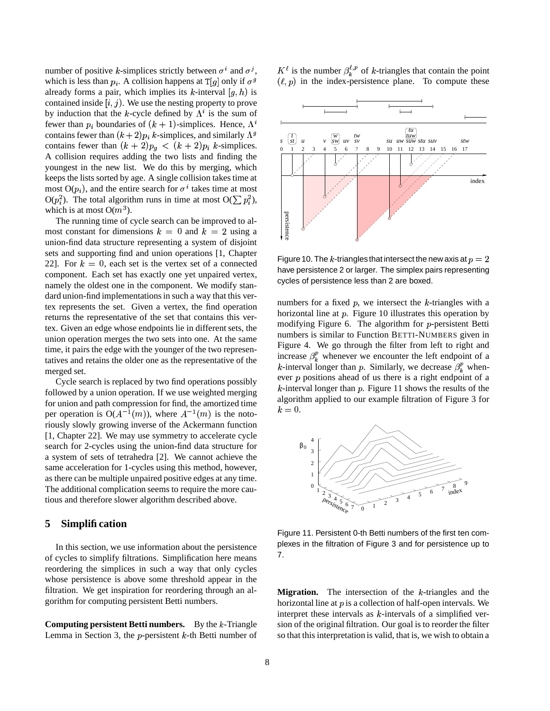number of positive k-simplices strictly between  $\sigma^i$  and  $\sigma^j$ , which is less than  $p_i$ . A collision happens at  $T[g]$  only if  $\sigma^g$  (*k*) already forms a pair, which implies its k-interval  $[g, h)$  is contained inside  $[i, j)$ . We use the nesting property to prove by induction that the k-cycle defined by  $\Lambda^i$  is the sum of fewer than  $p_i$  boundaries of  $(k + 1)$ -simplices. Hence,  $\Lambda^i$ contains fewer than  $(k+2)p_i$  k-simplices, and similarly  $\Lambda^g$ contains fewer than  $(k + 2)p_g < (k + 2)p_i$  k-simplices. A collision requires adding the two lists and finding the youngest in the new list. We do this by merging, which keeps the lists sorted by age. A single collision takes time at most  $O(p_i)$ , and the entire search for  $\sigma^i$  takes time at most  $O(p_i^2)$ . The total algorithm runs in time at most  $O(\sum p_i^2)$ , which is at most  $O(m^3)$ .

The running time of cycle search can be improved to almost constant for dimensions  $k = 0$  and  $k = 2$  using a union-find data structure representing a system of disjoint sets and supporting find and union operations [1, Chapter 22]. For  $k = 0$ , each set is the vertex set of a connected component. Each set has exactly one yet unpaired vertex, namely the oldest one in the component. We modify standard union-find implementations in such a way that this vertex represents the set. Given a vertex, the find operation returns the representative of the set that contains this vertex. Given an edge whose endpoints lie in different sets, the union operation merges the two sets into one. At the same time, it pairs the edge with the younger of the two representatives and retains the older one as the representative of the merged set.

Cycle search is replaced by two find operations possibly followed by a union operation. If we use weighted merging for union and path compression for find, the amortized time per operation is  $O(A^{-1}(m))$ , where  $A^{-1}(m)$  is the notoriously slowly growing inverse of the Ackermann function [1, Chapter 22]. We may use symmetry to accelerate cycle search for 2-cycles using the union-find data structure for a system of sets of tetrahedra [2]. We cannot achieve the same acceleration for 1-cycles using this method, however, as there can be multiple unpaired positive edges at any time. The additional complication seems to require the more cautious and therefore slower algorithm described above.

#### **5 Simplification**

In this section, we use information about the persistence of cycles to simplify filtrations. Simplification here means reordering the simplices in such a way that only cycles whose persistence is above some threshold appear in the filtration. We get inspiration for reordering through an algorithm for computing persistent Betti numbers.

**Computing persistent Betti numbers.** By the k-Triangle Lemma in Section 3, the  $p$ -persistent  $k$ -th Betti number of  $K^{\ell}$  is the number  $\beta_k^{\ell,p}$  of k-triangles that contain the point  $(\ell, p)$  in the index-persistence plane. To compute these



Figure 10. The k-triangles that intersect the new axis at  $p=2$ have persistence 2 or larger. The simplex pairs representing cycles of persistence less than 2 are boxed.

numbers for a fixed  $p$ , we intersect the  $k$ -triangles with a horizontal line at  $p$ . Figure 10 illustrates this operation by modifying Figure 6. The algorithm for  $p$ -persistent Betti numbers is similar to Function BETTI-NUMBERS given in Figure 4. We go through the filter from left to right and increase  $\beta_k^p$  whenever we encounter the left endpoint of a *k*-interval longer than p. Similarly, we decrease  $\beta_k^p$  whenever  $p$  positions ahead of us there is a right endpoint of a k-interval longer than p. Figure 11 shows the results of the algorithm applied to our example filtration of Figure 3 for  $k=0.$ 



Figure 11. Persistent 0-th Betti numbers of the first ten complexes in the filtration of Figure 3 and for persistence up to 7.

**Migration.** The intersection of the  $k$ -triangles and the horizontal line at  $p$  is a collection of half-open intervals. We interpret these intervals as  $k$ -intervals of a simplified version of the original filtration. Our goal is to reorder the filter so that this interpretation is valid, that is, we wish to obtain a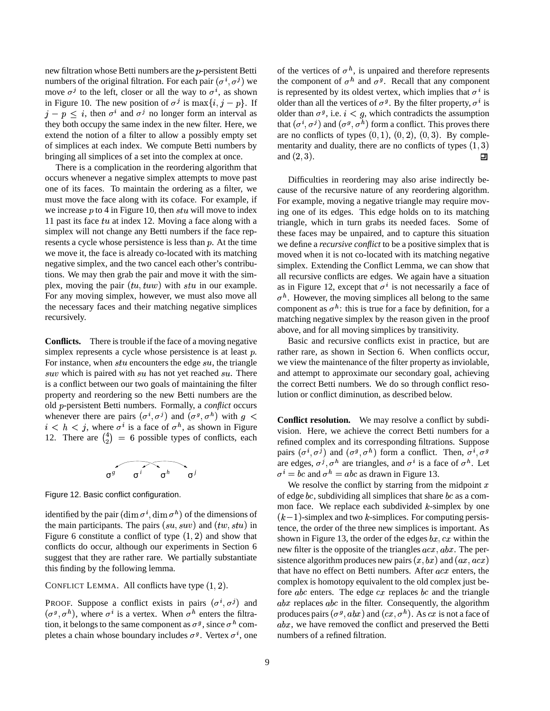new filtration whose Betti numbers are the *p*-persistent Betti numbers of the original filtration. For each pair  $(\sigma^i, \sigma^j)$  we move  $\sigma^j$  to the left, closer or all the way to  $\sigma^i$ , as shown in Figure 10. The new position of  $\sigma^j$  is  $\max\{i, j - p\}$ . If o  $j - p \leq i$ , then  $\sigma^{i}$  and  $\sigma^{j}$  no longer form an interval as they both occupy the same index in the new filter. Here, we extend the notion of a filter to allow a possibly empty set of simplices at each index. We compute Betti numbers by bringing all simplices of a set into the complex at once.

There is a complication in the reordering algorithm that occurs whenever a negative simplex attempts to move past one of its faces. To maintain the ordering as a filter, we must move the face along with its coface. For example, if we increase  $p$  to 4 in Figure 10, then  $stu$  will move to index 11 past its face  $tu$  at index 12. Moving a face along with a simplex will not change any Betti numbers if the face represents a cycle whose persistence is less than  $p$ . At the time we move it, the face is already co-located with its matching negative simplex, and the two cancel each other's contributions. We may then grab the pair and move it with the simplex, moving the pair  $(tu, tuw)$  with  $stu$  in our example. For any moving simplex, however, we must also move all the necessary faces and their matching negative simplices recursively.

**Conflicts.** There is trouble if the face of a moving negative simplex represents a cycle whose persistence is at least  $p$ . For instance, when  $stu$  encounters the edge  $su$ , the triangle  $suv$  which is paired with  $su$  has not yet reached  $su$ . There is a conflict between our two goals of maintaining the filter property and reordering so the new Betti numbers are the old *p*-persistent Betti numbers. Formally, a *conflict* occurs whenever there are pairs  $(\sigma^i, \sigma^j)$  and  $(\sigma^g, \sigma^h)$  with  $g <$  conflict  $i < h < j$ , where  $\sigma^{i}$  is a face of  $\sigma^{h}$ , as shown in Figure 12. There are  $\binom{4}{2}$  = 6 possible types of conflicts, each



Figure 12. Basic conflict configuration.

identified by the pair  $(\dim \sigma^i, \dim \sigma^h)$  of the dimensions of the main participants. The pairs  $(su, suv)$  and  $(tw, stu)$  in Figure 6 constitute a conflict of type  $(1, 2)$  and show that conflicts do occur, although our experiments in Section 6 suggest that they are rather rare. We partially substantiate this finding by the following lemma.

#### CONFLICT LEMMA. All conflicts have type  $(1, 2)$ .

PROOF. Suppose a conflict exists in pairs  $(\sigma^i, \sigma^j)$  and  $(\sigma^g, \sigma^h)$ , where  $\sigma^i$  is a vertex. When  $\sigma^h$  enters the filtration, it belongs to the same component as  $\sigma^g$ , since  $\sigma^h$  completes a chain whose boundary includes  $\sigma^g$ . Vertex  $\sigma^i$ , one

of the vertices of  $\sigma^h$ , is unpaired and therefore represents the component of  $\sigma^h$  and  $\sigma^g$ . Recall that any component is represented by its oldest vertex, which implies that  $\sigma^i$  is older than all the vertices of  $\sigma^g$ . By the filter property,  $\sigma^i$  is older than  $\sigma^g$ , i.e.  $i < g$ , which contradicts the assumption that  $(\sigma^i, \sigma^j)$  and  $(\sigma^g, \sigma^h)$  form a conflict. This proves there are no conflicts of types  $(0, 1)$ ,  $(0, 2)$ ,  $(0, 3)$ . By complementarity and duality, there are no conflicts of types  $(1, 3)$ and  $(2, 3)$ . 口

Difficulties in reordering may also arise indirectly because of the recursive nature of any reordering algorithm. For example, moving a negative triangle may require moving one of its edges. This edge holds on to its matching triangle, which in turn grabs its needed faces. Some of these faces may be unpaired, and to capture this situation we define a *recursive conflict* to be a positive simplex that is moved when it is not co-located with its matching negative simplex. Extending the Conflict Lemma, we can show that all recursive conflicts are edges. We again have a situation as in Figure 12, except that  $\sigma^i$  is not necessarily a face of  $\sigma^h$ . However, the moving simplices all belong to the same component as  $\sigma^h$ : this is true for a face by definition, for a matching negative simplex by the reason given in the proof above, and for all moving simplices by transitivity.

Basic and recursive conflicts exist in practice, but are rather rare, as shown in Section 6. When conflicts occur, we view the maintenance of the filter property as inviolable, and attempt to approximate our secondary goal, achieving the correct Betti numbers. We do so through conflict resolution or conflict diminution, as described below.

**Conflict resolution.** We may resolve a conflict by subdivision. Here, we achieve the correct Betti numbers for a refined complex and its corresponding filtrations. Suppose pairs  $(\sigma^i, \sigma^j)$  and  $(\sigma^g, \sigma^h)$  form a conflict. Then,  $\sigma^i, \sigma^g$ are edges,  $\sigma^j$ ,  $\sigma^h$  are triangles, and  $\sigma^i$  is a face of  $\sigma^h$ . Let  $\sigma^i = bc$  and  $\sigma^h = abc$  as drawn in Figure 13.

We resolve the conflict by starring from the midpoint  $x$ of edge bc, subdividing all simplices that share bc as a common face. We replace each subdivided  $k$ -simplex by one  $(k-1)$ -simplex and two k-simplices. For computing persistence, the order of the three new simplices is important. As shown in Figure 13, the order of the edges  $bx, cx$  within the new filter is the opposite of the triangles  $acx, abx$ . The persistence algorithm produces new pairs  $(x, bx)$  and  $(ax, acx)$ that have no effect on Betti numbers. After  $acx$  enters, the complex is homotopy equivalent to the old complex just before  $abc$  enters. The edge  $cx$  replaces  $bc$  and the triangle  $abx$  replaces  $abc$  in the filter. Consequently, the algorithm produces pairs  $(\sigma^g, abx)$  and  $(cx, \sigma^h)$ . As  $cx$  is not a face of  $abx$ , we have removed the conflict and preserved the Betti numbers of a refined filtration.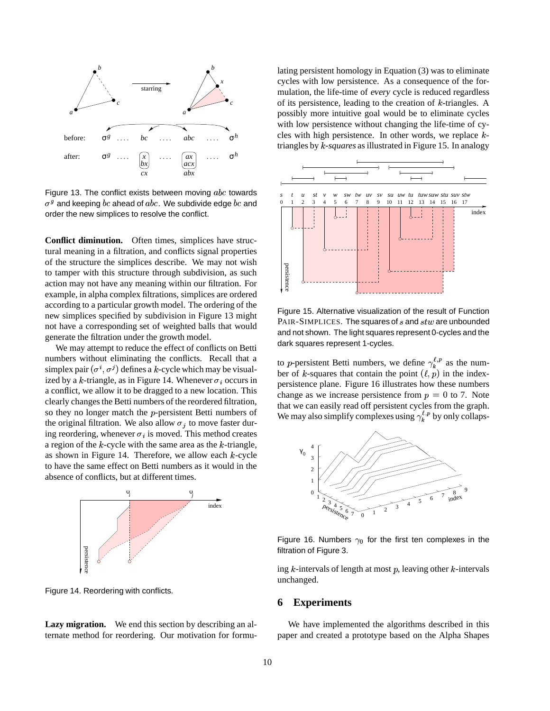

Figure 13. The conflict exists between moving  $abc$  towards  $\sigma^g$  and keeping  $bc$  ahead of  $abc$ . We subdivide edge  $bc$  and order the new simplices to resolve the conflict.

**Conflict diminution.** Often times, simplices have structural meaning in a filtration, and conflicts signal properties of the structure the simplices describe. We may not wish to tamper with this structure through subdivision, as such action may not have any meaning within our filtration. For example, in alpha complex filtrations, simplices are ordered according to a particular growth model. The ordering of the new simplices specified by subdivision in Figure 13 might not have a corresponding set of weighted balls that would generate the filtration under the growth model.

We may attempt to reduce the effect of conflicts on Betti numbers without eliminating the conflicts. Recall that a simplex pair  $(\sigma^i, \sigma^j)$  defines a k-cycle which may be visualized by a k-triangle, as in Figure 14. Whenever  $\sigma_i$  occurs in a conflict, we allow it to be dragged to a new location. This clearly changes the Betti numbers of the reordered filtration, so they no longer match the  $p$ -persistent Betti numbers of the original filtration. We also allow  $\sigma_j$  to move faster during reordering, whenever  $\sigma_i$  is moved. This method creates a region of the  $k$ -cycle with the same area as the  $k$ -triangle, as shown in Figure 14. Therefore, we allow each  $k$ -cycle to have the same effect on Betti numbers as it would in the absence of conflicts, but at different times.



Figure 14. Reordering with conflicts.

**Lazy migration.** We end this section by describing an alternate method for reordering. Our motivation for formulating persistent homology in Equation (3) was to eliminate cycles with low persistence. As a consequence of the formulation, the life-time of every cycle is reduced regardless of its persistence, leading to the creation of  $k$ -triangles. A possibly more intuitive goal would be to eliminate cycles with low persistence without changing the life-time of cycles with high persistence. In other words, we replace  $k$ triangles by *k*-*squares* as illustrated in Figure 15. In analogy



Figure 15. Alternative visualization of the result of Function  $\texttt{PAIR-SIMPLICES}.$  The squares of  $s$  and  $stw$  are unbounded and not shown. The light squares represent 0-cycles and the dark squares represent 1-cycles.

to *p*-persistent Betti numbers, we define  $\gamma_k^{\ell,p}$  as the number of k-squares that contain the point  $(\ell, p)$  in the indexpersistence plane. Figure 16 illustrates how these numbers change as we increase persistence from  $p = 0$  to 7. Note that we can easily read off persistent cycles from the graph. We may also simplify complexes using  $\gamma_k^{t,p}$  by only collaps-



Figure 16. Numbers  $\gamma_0$  for the first ten complexes in the filtration of Figure 3.

ing  $k$ -intervals of length at most  $p$ , leaving other  $k$ -intervals unchanged.

#### **6 Experiments**

We have implemented the algorithms described in this paper and created a prototype based on the Alpha Shapes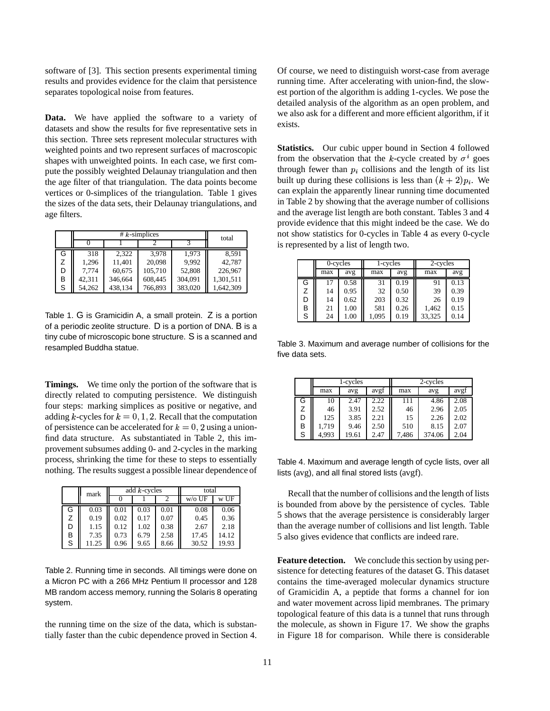software of [3]. This section presents experimental timing results and provides evidence for the claim that persistence separates topological noise from features.

**Data.** We have applied the software to a variety of datasets and show the results for five representative sets in this section. Three sets represent molecular structures with weighted points and two represent surfaces of macroscopic shapes with unweighted points. In each case, we first compute the possibly weighted Delaunay triangulation and then the age filter of that triangulation. The data points become vertices or 0-simplices of the triangulation. Table 1 gives the sizes of the data sets, their Delaunay triangulations, and age filters.

|   |        | total   |         |         |           |
|---|--------|---------|---------|---------|-----------|
|   |        |         |         |         |           |
| G | 318    | 2.322   | 3.978   | 1.973   | 8.591     |
| Z | 1.296  | 11.401  | 20,098  | 9.992   | 42.787    |
| D | 7.774  | 60,675  | 105,710 | 52,808  | 226,967   |
| в | 42.311 | 346,664 | 608,445 | 304,091 | 1,301,511 |
| S | 54,262 | 438,134 | 766,893 | 383,020 | 1,642,309 |

Table 1. G is Gramicidin A, a small protein. Z is a portion of a periodic zeolite structure. D is a portion of DNA. B is a tiny cube of microscopic bone structure. S is a scanned and resampled Buddha statue.

**Timings.** We time only the portion of the software that is directly related to computing persistence. We distinguish four steps: marking simplices as positive or negative, and adding k-cycles for  $k = 0, 1, 2$ . Recall that the computation of persistence can be accelerated for  $k = 0, 2$  using a unionfind data structure. As substantiated in Table 2, this improvement subsumes adding 0- and 2-cycles in the marking process, shrinking the time for these to steps to essentially nothing. The results suggest a possible linear dependence of

|   | mark  | add $k$ -cycles |      |      | total    |       |
|---|-------|-----------------|------|------|----------|-------|
|   |       |                 |      |      | $w/o$ UF | w UF  |
| G | 0.03  | 0.01            | 0.03 | 0.01 | 0.08     | 0.06  |
| Ζ | 0.19  | 0.02            | 0.17 | 0.07 | 0.45     | 0.36  |
| D | 1.15  | 0.12            | 1.02 | 0.38 | 2.67     | 2.18  |
| B | 7.35  | 0.73            | 6.79 | 2.58 | 17.45    | 14.12 |
| S | 11.25 | 0.96            | 9.65 | 8.66 | 30.52    | 19.93 |

Table 2. Running time in seconds. All timings were done on a Micron PC with a 266 MHz Pentium II processor and 128 MB random access memory, running the Solaris 8 operating system.

the running time on the size of the data, which is substantially faster than the cubic dependence proved in Section 4. Of course, we need to distinguish worst-case from average running time. After accelerating with union-find, the slowest portion of the algorithm is adding 1-cycles. We pose the detailed analysis of the algorithm as an open problem, and we also ask for a different and more efficient algorithm, if it exists.

**Statistics.** Our cubic upper bound in Section 4 followed from the observation that the k-cycle created by  $\sigma^i$  goes through fewer than  $p_i$  collisions and the length of its list built up during these collisions is less than  $(k + 2)p_i$ . We can explain the apparently linear running time documented in Table 2 by showing that the average number of collisions and the average list length are both constant. Tables 3 and 4 provide evidence that this might indeed be the case. We do not show statistics for 0-cycles in Table 4 as every 0-cycle is represented by a list of length two.

|   | 0-cycles |      | 1-cycles |      | 2-cycles |      |
|---|----------|------|----------|------|----------|------|
|   | max      | avg  | max      | avg  | max      | avg  |
| G | 17       | 0.58 | 31       | 0.19 | 91       | 0.13 |
| Z | 14       | 0.95 | 32       | 0.50 | 39       | 0.39 |
| D | 14       | 0.62 | 203      | 0.32 | 26       | 0.19 |
| в | 21       | 1.00 | 581      | 0.26 | 1,462    | 0.15 |
| S | 24       | 1.00 | 1.095    | 0.19 | 33,325   | 0.14 |

Table 3. Maximum and average number of collisions for the five data sets.

|   |       | 1-cycles |      |       | 2-cycles |      |
|---|-------|----------|------|-------|----------|------|
|   | max   | avg      | avgf | max   | avg      | avgf |
| G | 10    | 2.47     | 2.22 | 111   | 4.86     | 2.08 |
| Z | 46    | 3.91     | 2.52 | 46    | 2.96     | 2.05 |
| D | 125   | 3.85     | 2.21 | 15    | 2.26     | 2.02 |
| В | 1,719 | 9.46     | 2.50 | 510   | 8.15     | 2.07 |
| S | 4,993 | 19.61    | 2.47 | 7,486 | 374.06   | 2.04 |

Table 4. Maximum and average length of cycle lists, over all lists (avg), and all final stored lists (avgf).

Recall that the number of collisions and the length of lists is bounded from above by the persistence of cycles. Table 5 shows that the average persistence is considerably larger than the average number of collisions and list length. Table 5 also gives evidence that conflicts are indeed rare.

**Feature detection.** We conclude this section by using persistence for detecting features of the dataset G. This dataset contains the time-averaged molecular dynamics structure of Gramicidin A, a peptide that forms a channel for ion and water movement across lipid membranes. The primary topological feature of this data is a tunnel that runs through the molecule, as shown in Figure 17. We show the graphs in Figure 18 for comparison. While there is considerable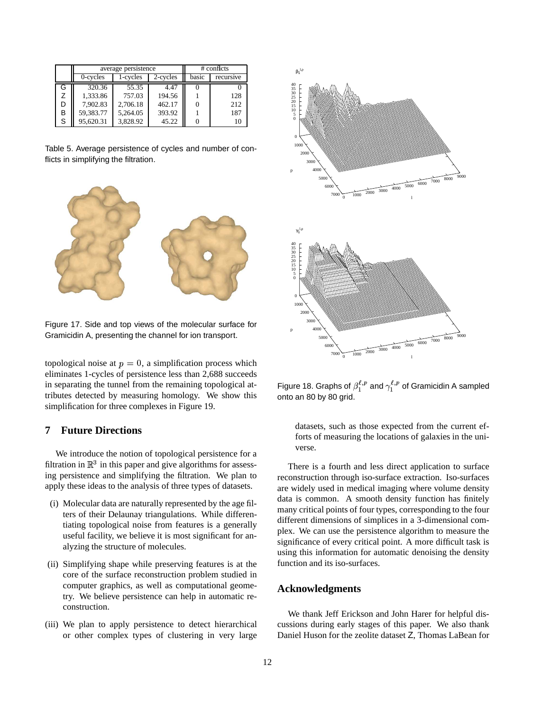|   |                                  | average persistence | $#$ conflicts |           |     |
|---|----------------------------------|---------------------|---------------|-----------|-----|
|   | 0-cycles<br>2-cycles<br>1-cycles |                     | basic         | recursive |     |
| G | 320.36                           | 55.35               | 4.47          |           |     |
|   | 1,333.86                         | 757.03              | 194.56        |           | 128 |
|   | 7.902.83                         | 2,706.18            | 462.17        |           | 212 |
| В | 59,383.77                        | 5,264.05            | 393.92        |           | 187 |
| S | 95,620.31                        | 3,828.92            | 45.22         |           |     |

Table 5. Average persistence of cycles and number of conflicts in simplifying the filtration.



Figure 17. Side and top views of the molecular surface for Gramicidin A, presenting the channel for ion transport.

topological noise at  $p = 0$ , a simplification process which eliminates 1-cycles of persistence less than 2,688 succeeds in separating the tunnel from the remaining topological attributes detected by measuring homology. We show this simplification for three complexes in Figure 19.

# **7 Future Directions**

We introduce the notion of topological persistence for a filtration in  $\mathbb{R}^3$  in this paper and give algorithms for assessing persistence and simplifying the filtration. We plan to apply these ideas to the analysis of three types of datasets.

- (i) Molecular data are naturally represented by the age filters of their Delaunay triangulations. While differentiating topological noise from features is a generally useful facility, we believe it is most significant for analyzing the structure of molecules.
- (ii) Simplifying shape while preserving features is at the core of the surface reconstruction problem studied in computer graphics, as well as computational geometry. We believe persistence can help in automatic reconstruction.
- (iii) We plan to apply persistence to detect hierarchical or other complex types of clustering in very large



Figure 18. Graphs of  $\beta_1^{\epsilon,p}$  and  $\gamma_1^{\epsilon,p}$  of Gramicidin A sampled onto an 80 by 80 grid.

datasets, such as those expected from the current efforts of measuring the locations of galaxies in the universe.

There is a fourth and less direct application to surface reconstruction through iso-surface extraction. Iso-surfaces are widely used in medical imaging where volume density data is common. A smooth density function has finitely many critical points of four types, corresponding to the four different dimensions of simplices in a 3-dimensional complex. We can use the persistence algorithm to measure the significance of every critical point. A more difficult task is using this information for automatic denoising the density function and its iso-surfaces.

#### **Acknowledgments**

We thank Jeff Erickson and John Harer for helpful discussions during early stages of this paper. We also thank Daniel Huson for the zeolite dataset Z, Thomas LaBean for